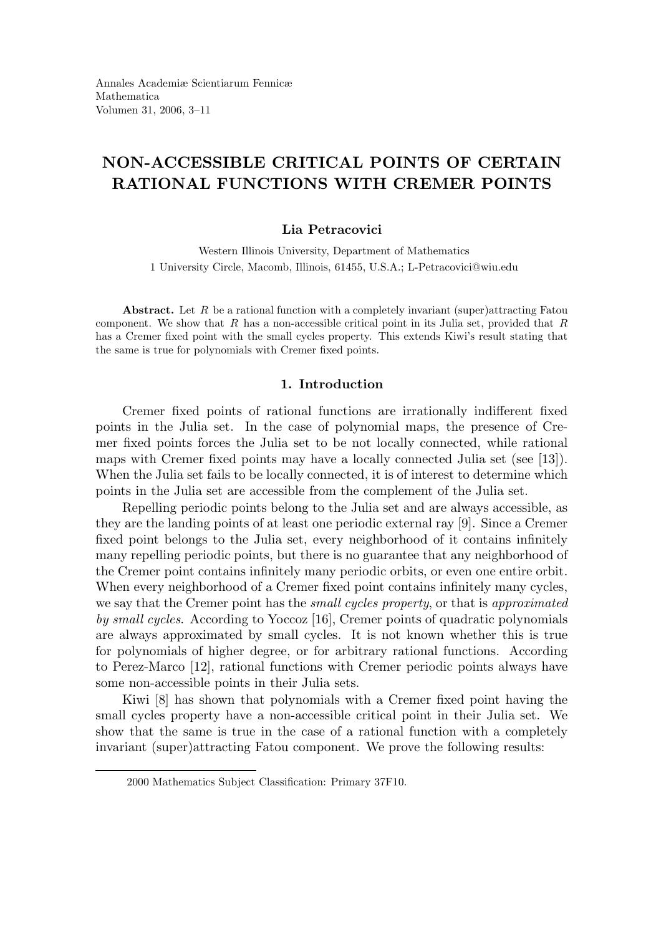# NON-ACCESSIBLE CRITICAL POINTS OF CERTAIN RATIONAL FUNCTIONS WITH CREMER POINTS

## Lia Petracovici

Western Illinois University, Department of Mathematics 1 University Circle, Macomb, Illinois, 61455, U.S.A.; L-Petracovici@wiu.edu

Abstract. Let  $R$  be a rational function with a completely invariant (super)attracting Fatou component. We show that  $R$  has a non-accessible critical point in its Julia set, provided that  $R$ has a Cremer fixed point with the small cycles property. This extends Kiwi's result stating that the same is true for polynomials with Cremer fixed points.

# 1. Introduction

Cremer fixed points of rational functions are irrationally indifferent fixed points in the Julia set. In the case of polynomial maps, the presence of Cremer fixed points forces the Julia set to be not locally connected, while rational maps with Cremer fixed points may have a locally connected Julia set (see [13]). When the Julia set fails to be locally connected, it is of interest to determine which points in the Julia set are accessible from the complement of the Julia set.

Repelling periodic points belong to the Julia set and are always accessible, as they are the landing points of at least one periodic external ray [9]. Since a Cremer fixed point belongs to the Julia set, every neighborhood of it contains infinitely many repelling periodic points, but there is no guarantee that any neighborhood of the Cremer point contains infinitely many periodic orbits, or even one entire orbit. When every neighborhood of a Cremer fixed point contains infinitely many cycles, we say that the Cremer point has the *small cycles property*, or that is *approximated* by small cycles. According to Yoccoz [16], Cremer points of quadratic polynomials are always approximated by small cycles. It is not known whether this is true for polynomials of higher degree, or for arbitrary rational functions. According to Perez-Marco [12], rational functions with Cremer periodic points always have some non-accessible points in their Julia sets.

Kiwi [8] has shown that polynomials with a Cremer fixed point having the small cycles property have a non-accessible critical point in their Julia set. We show that the same is true in the case of a rational function with a completely invariant (super)attracting Fatou component. We prove the following results:

<sup>2000</sup> Mathematics Subject Classification: Primary 37F10.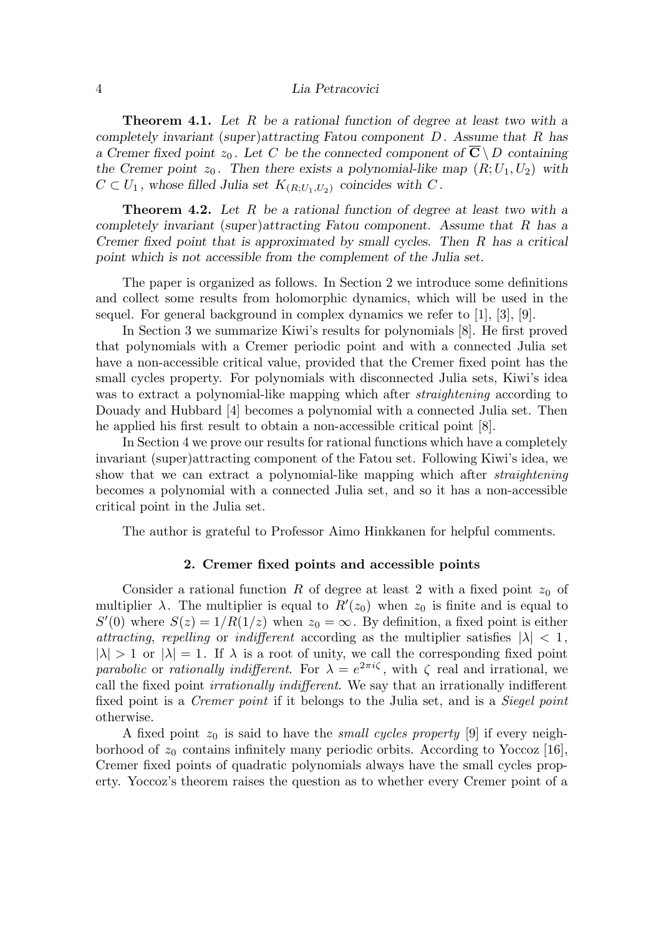**Theorem 4.1.** Let R be a rational function of degree at least two with a completely invariant (super)attracting Fatou component D. Assume that R has a Cremer fixed point  $z_0$ . Let C be the connected component of  $\overline{C} \setminus D$  containing the Cremer point  $z_0$ . Then there exists a polynomial-like map  $(R; U_1, U_2)$  with  $C \subset U_1$ , whose filled Julia set  $K_{(R;U_1,U_2)}$  coincides with C.

Theorem 4.2. Let R be a rational function of degree at least two with a completely invariant (super)attracting Fatou component. Assume that R has a Cremer fixed point that is approximated by small cycles. Then R has a critical point which is not accessible from the complement of the Julia set.

The paper is organized as follows. In Section 2 we introduce some definitions and collect some results from holomorphic dynamics, which will be used in the sequel. For general background in complex dynamics we refer to  $[1], [3], [9].$ 

In Section 3 we summarize Kiwi's results for polynomials [8]. He first proved that polynomials with a Cremer periodic point and with a connected Julia set have a non-accessible critical value, provided that the Cremer fixed point has the small cycles property. For polynomials with disconnected Julia sets, Kiwi's idea was to extract a polynomial-like mapping which after *straightening* according to Douady and Hubbard [4] becomes a polynomial with a connected Julia set. Then he applied his first result to obtain a non-accessible critical point [8].

In Section 4 we prove our results for rational functions which have a completely invariant (super)attracting component of the Fatou set. Following Kiwi's idea, we show that we can extract a polynomial-like mapping which after *straightening* becomes a polynomial with a connected Julia set, and so it has a non-accessible critical point in the Julia set.

The author is grateful to Professor Aimo Hinkkanen for helpful comments.

### 2. Cremer fixed points and accessible points

Consider a rational function R of degree at least 2 with a fixed point  $z_0$  of multiplier  $\lambda$ . The multiplier is equal to  $R'(z_0)$  when  $z_0$  is finite and is equal to  $S'(0)$  where  $S(z) = 1/R(1/z)$  when  $z_0 = \infty$ . By definition, a fixed point is either attracting, repelling or indifferent according as the multiplier satisfies  $|\lambda| < 1$ ,  $|\lambda| > 1$  or  $|\lambda| = 1$ . If  $\lambda$  is a root of unity, we call the corresponding fixed point parabolic or rationally indifferent. For  $\lambda = e^{2\pi i \zeta}$ , with  $\zeta$  real and irrational, we call the fixed point irrationally indifferent. We say that an irrationally indifferent fixed point is a Cremer point if it belongs to the Julia set, and is a Siegel point otherwise.

A fixed point  $z_0$  is said to have the *small cycles property* [9] if every neighborhood of  $z_0$  contains infinitely many periodic orbits. According to Yoccoz [16], Cremer fixed points of quadratic polynomials always have the small cycles property. Yoccoz's theorem raises the question as to whether every Cremer point of a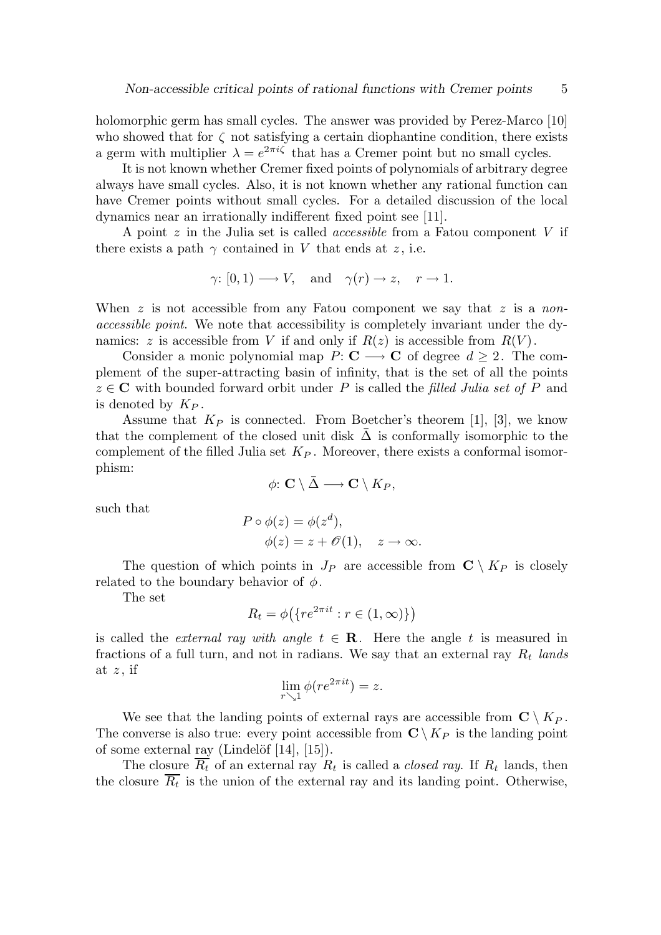holomorphic germ has small cycles. The answer was provided by Perez-Marco [10] who showed that for  $\zeta$  not satisfying a certain diophantine condition, there exists a germ with multiplier  $\lambda = e^{2\pi i \zeta}$  that has a Cremer point but no small cycles.

It is not known whether Cremer fixed points of polynomials of arbitrary degree always have small cycles. Also, it is not known whether any rational function can have Cremer points without small cycles. For a detailed discussion of the local dynamics near an irrationally indifferent fixed point see [11].

A point  $z$  in the Julia set is called *accessible* from a Fatou component  $V$  if there exists a path  $\gamma$  contained in V that ends at z, i.e.

$$
\gamma
$$
: [0,1)  $\longrightarrow$  V, and  $\gamma(r) \rightarrow z$ ,  $r \rightarrow 1$ .

When  $z$  is not accessible from any Fatou component we say that  $z$  is a nonaccessible point. We note that accessibility is completely invariant under the dynamics: z is accessible from V if and only if  $R(z)$  is accessible from  $R(V)$ .

Consider a monic polynomial map  $P: \mathbf{C} \longrightarrow \mathbf{C}$  of degree  $d \geq 2$ . The complement of the super-attracting basin of infinity, that is the set of all the points  $z \in \mathbb{C}$  with bounded forward orbit under P is called the filled Julia set of P and is denoted by  $K_P$ .

Assume that  $K_P$  is connected. From Boetcher's theorem [1], [3], we know that the complement of the closed unit disk  $\Delta$  is conformally isomorphic to the complement of the filled Julia set  $K_P$ . Moreover, there exists a conformal isomorphism:

$$
\phi\colon \mathbf{C}\setminus \bar \Delta \longrightarrow \mathbf{C}\setminus K_P,
$$

such that

$$
P \circ \phi(z) = \phi(z^d),
$$
  
\n
$$
\phi(z) = z + \mathcal{O}(1), \quad z \to \infty.
$$

The question of which points in  $J_P$  are accessible from  $\mathbb{C} \setminus K_P$  is closely related to the boundary behavior of  $\phi$ .

The set

$$
R_t = \phi\big(\{re^{2\pi it} : r \in (1, \infty)\}\big)
$$

is called the *external ray with angle t*  $\in \mathbb{R}$ . Here the angle t is measured in fractions of a full turn, and not in radians. We say that an external ray  $R_t$  lands at  $z$ , if

$$
\lim_{r \searrow 1} \phi(re^{2\pi i t}) = z.
$$

We see that the landing points of external rays are accessible from  $\mathbb{C} \setminus K_P$ . The converse is also true: every point accessible from  $\mathbb{C} \setminus K_P$  is the landing point of some external ray (Lindelöf  $[14]$ ,  $[15]$ ).

The closure  $R_t$  of an external ray  $R_t$  is called a *closed ray*. If  $R_t$  lands, then the closure  $R_t$  is the union of the external ray and its landing point. Otherwise,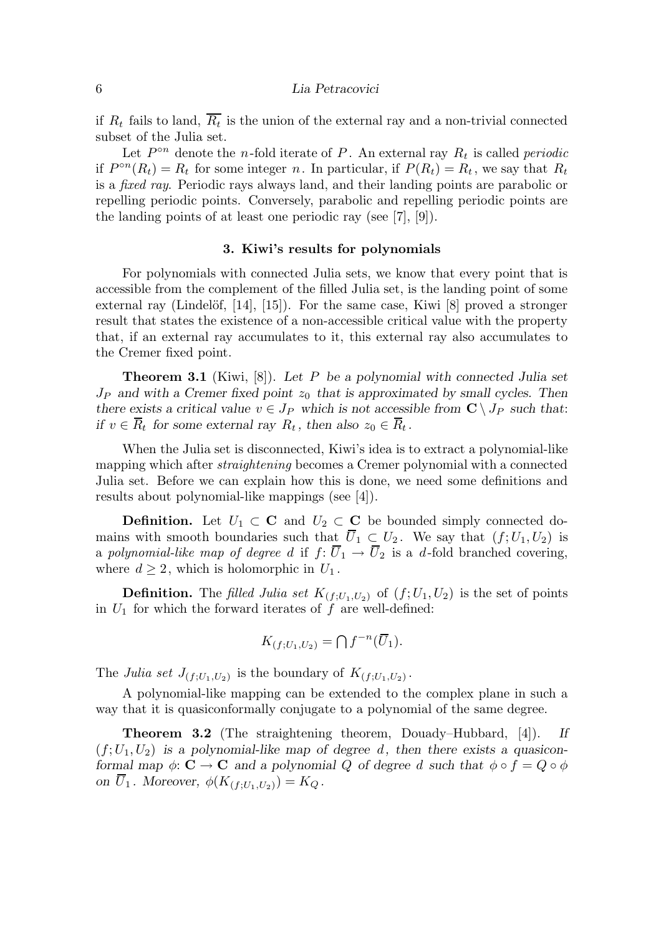if  $R_t$  fails to land,  $R_t$  is the union of the external ray and a non-trivial connected subset of the Julia set.

Let  $P^{\circ n}$  denote the *n*-fold iterate of P. An external ray  $R_t$  is called *periodic* if  $P^{\circ n}(R_t) = R_t$  for some integer n. In particular, if  $P(R_t) = R_t$ , we say that  $R_t$ is a fixed ray. Periodic rays always land, and their landing points are parabolic or repelling periodic points. Conversely, parabolic and repelling periodic points are the landing points of at least one periodic ray (see [7], [9]).

#### 3. Kiwi's results for polynomials

For polynomials with connected Julia sets, we know that every point that is accessible from the complement of the filled Julia set, is the landing point of some external ray (Lindelöf,  $[14]$ ,  $[15]$ ). For the same case, Kiwi  $[8]$  proved a stronger result that states the existence of a non-accessible critical value with the property that, if an external ray accumulates to it, this external ray also accumulates to the Cremer fixed point.

**Theorem 3.1** (Kiwi, [8]). Let P be a polynomial with connected Julia set  $J_P$  and with a Cremer fixed point  $z_0$  that is approximated by small cycles. Then there exists a critical value  $v \in J_P$  which is not accessible from  $\mathbb{C} \setminus J_P$  such that: if  $v \in \overline{R}_t$  for some external ray  $R_t$ , then also  $z_0 \in \overline{R}_t$ .

When the Julia set is disconnected, Kiwi's idea is to extract a polynomial-like mapping which after *straightening* becomes a Cremer polynomial with a connected Julia set. Before we can explain how this is done, we need some definitions and results about polynomial-like mappings (see [4]).

**Definition.** Let  $U_1 \subset \mathbf{C}$  and  $U_2 \subset \mathbf{C}$  be bounded simply connected domains with smooth boundaries such that  $\overline{U}_1 \subset U_2$ . We say that  $(f; U_1, U_2)$  is a polynomial-like map of degree d if  $f: \overline{U}_1 \to \overline{U}_2$  is a d-fold branched covering, where  $d \geq 2$ , which is holomorphic in  $U_1$ .

**Definition.** The filled Julia set  $K_{(f;U_1,U_2)}$  of  $(f;U_1,U_2)$  is the set of points in  $U_1$  for which the forward iterates of f are well-defined:

$$
K_{(f;U_1,U_2)} = \bigcap f^{-n}(\overline{U}_1).
$$

The Julia set  $J_{(f;U_1,U_2)}$  is the boundary of  $K_{(f;U_1,U_2)}$ .

A polynomial-like mapping can be extended to the complex plane in such a way that it is quasiconformally conjugate to a polynomial of the same degree.

Theorem 3.2 (The straightening theorem, Douady–Hubbard, [4]). If  $(f; U_1, U_2)$  is a polynomial-like map of degree d, then there exists a quasiconformal map  $\phi: \mathbf{C} \to \mathbf{C}$  and a polynomial Q of degree d such that  $\phi \circ f = Q \circ \phi$ on  $\overline{U}_1$ . Moreover,  $\phi(K_{(f;U_1,U_2)}) = K_Q$ .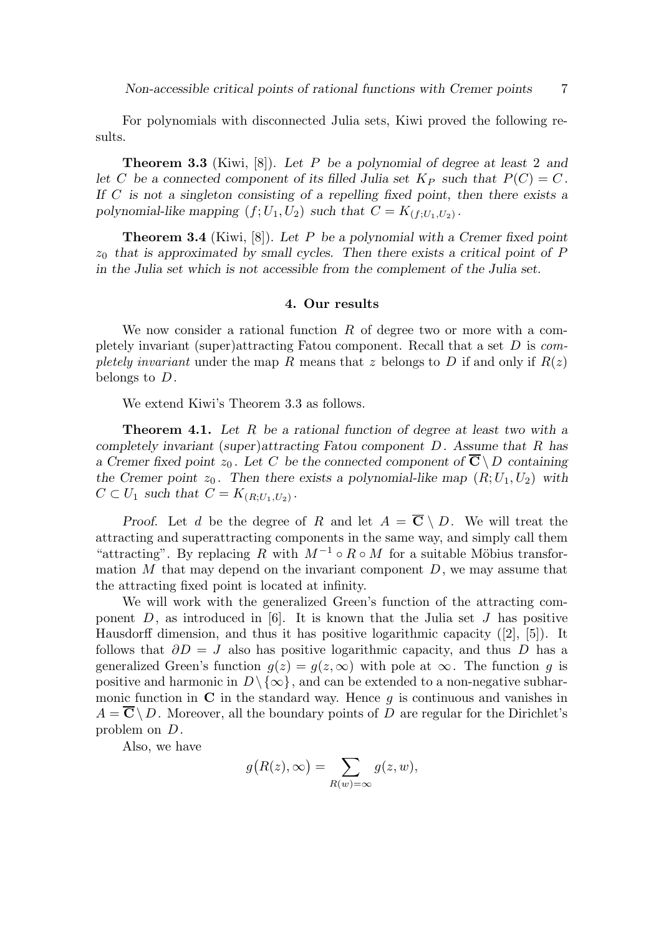For polynomials with disconnected Julia sets, Kiwi proved the following results.

Theorem 3.3 (Kiwi, [8]). Let P be a polynomial of degree at least 2 and let C be a connected component of its filled Julia set  $K_P$  such that  $P(C) = C$ . If C is not a singleton consisting of a repelling fixed point, then there exists a polynomial-like mapping  $(f; U_1, U_2)$  such that  $C = K_{(f; U_1, U_2)}$ .

**Theorem 3.4** (Kiwi, [8]). Let P be a polynomial with a Cremer fixed point  $z_0$  that is approximated by small cycles. Then there exists a critical point of P in the Julia set which is not accessible from the complement of the Julia set.

## 4. Our results

We now consider a rational function  $R$  of degree two or more with a completely invariant (super)attracting Fatou component. Recall that a set  $D$  is completely invariant under the map R means that z belongs to D if and only if  $R(z)$ belongs to D.

We extend Kiwi's Theorem 3.3 as follows.

Theorem 4.1. Let R be a rational function of degree at least two with a completely invariant (super)attracting Fatou component D. Assume that R has a Cremer fixed point  $z_0$ . Let C be the connected component of  $\overline{C} \setminus D$  containing the Cremer point  $z_0$ . Then there exists a polynomial-like map  $(R; U_1, U_2)$  with  $C \subset U_1$  such that  $C = K_{(R;U_1,U_2)}$ .

Proof. Let d be the degree of R and let  $A = \overline{C} \setminus D$ . We will treat the attracting and superattracting components in the same way, and simply call them "attracting". By replacing R with  $M^{-1} \circ R \circ M$  for a suitable Möbius transformation  $M$  that may depend on the invariant component  $D$ , we may assume that the attracting fixed point is located at infinity.

We will work with the generalized Green's function of the attracting component  $D$ , as introduced in [6]. It is known that the Julia set  $J$  has positive Hausdorff dimension, and thus it has positive logarithmic capacity ([2], [5]). It follows that  $\partial D = J$  also has positive logarithmic capacity, and thus D has a generalized Green's function  $g(z) = g(z, \infty)$  with pole at  $\infty$ . The function g is positive and harmonic in  $D \setminus \{ \infty \}$ , and can be extended to a non-negative subharmonic function in  $C$  in the standard way. Hence  $g$  is continuous and vanishes in  $A = \overline{\mathbf{C}} \setminus D$ . Moreover, all the boundary points of D are regular for the Dirichlet's problem on D.

Also, we have

$$
g(R(z), \infty) = \sum_{R(w) = \infty} g(z, w),
$$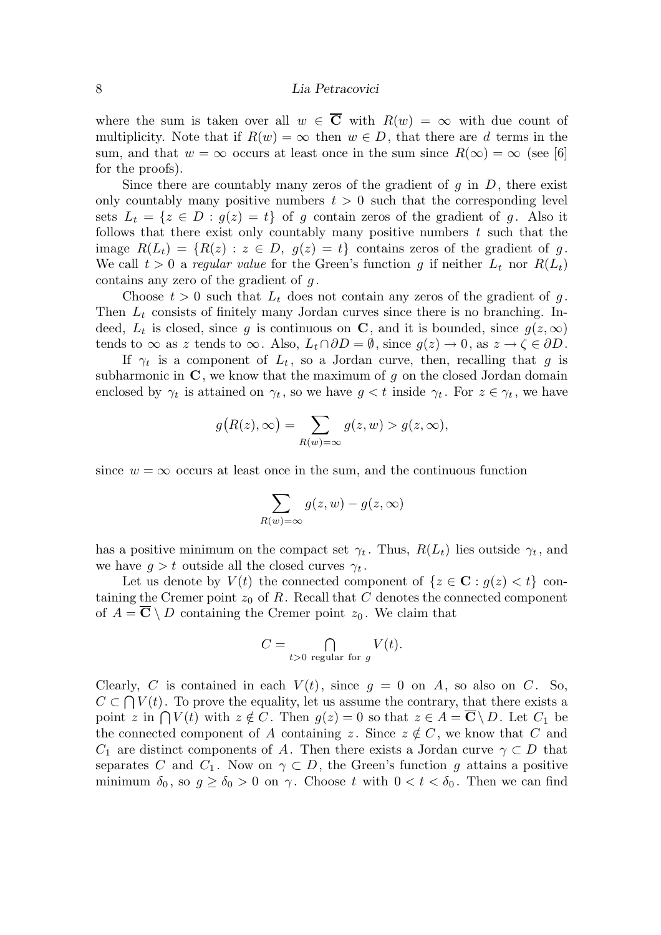where the sum is taken over all  $w \in \overline{C}$  with  $R(w) = \infty$  with due count of multiplicity. Note that if  $R(w) = \infty$  then  $w \in D$ , that there are d terms in the sum, and that  $w = \infty$  occurs at least once in the sum since  $R(\infty) = \infty$  (see [6] for the proofs).

Since there are countably many zeros of the gradient of q in  $D$ , there exist only countably many positive numbers  $t > 0$  such that the corresponding level sets  $L_t = \{z \in D : g(z) = t\}$  of g contain zeros of the gradient of g. Also it follows that there exist only countably many positive numbers  $t$  such that the image  $R(L_t) = \{R(z) : z \in D, g(z) = t\}$  contains zeros of the gradient of g. We call  $t > 0$  a regular value for the Green's function g if neither  $L_t$  nor  $R(L_t)$ contains any zero of the gradient of  $g$ .

Choose  $t > 0$  such that  $L_t$  does not contain any zeros of the gradient of g. Then  $L_t$  consists of finitely many Jordan curves since there is no branching. Indeed,  $L_t$  is closed, since g is continuous on C, and it is bounded, since  $g(z,\infty)$ tends to  $\infty$  as z tends to  $\infty$ . Also,  $L_t \cap \partial D = \emptyset$ , since  $g(z) \to 0$ , as  $z \to \zeta \in \partial D$ .

If  $\gamma_t$  is a component of  $L_t$ , so a Jordan curve, then, recalling that g is subharmonic in  $\mathbf C$ , we know that the maximum of g on the closed Jordan domain enclosed by  $\gamma_t$  is attained on  $\gamma_t$ , so we have  $g < t$  inside  $\gamma_t$ . For  $z \in \gamma_t$ , we have

$$
g(R(z), \infty) = \sum_{R(w) = \infty} g(z, w) > g(z, \infty),
$$

since  $w = \infty$  occurs at least once in the sum, and the continuous function

$$
\sum_{R(w)=\infty} g(z, w) - g(z, \infty)
$$

has a positive minimum on the compact set  $\gamma_t$ . Thus,  $R(L_t)$  lies outside  $\gamma_t$ , and we have  $g > t$  outside all the closed curves  $\gamma_t$ .

Let us denote by  $V(t)$  the connected component of  $\{z \in \mathbf{C} : g(z) < t\}$  containing the Cremer point  $z_0$  of R. Recall that C denotes the connected component of  $A = \overline{C} \setminus D$  containing the Cremer point  $z_0$ . We claim that

$$
C = \bigcap_{t>0 \text{ regular for } g} V(t).
$$

Clearly, C is contained in each  $V(t)$ , since  $g = 0$  on A, so also on C. So,  $C \subset \bigcap V(t)$ . To prove the equality, let us assume the contrary, that there exists a point z in  $\bigcap V(t)$  with  $z \notin C$ . Then  $g(z) = 0$  so that  $z \in A = \mathbb{C} \setminus D$ . Let  $C_1$  be the connected component of A containing z. Since  $z \notin C$ , we know that C and  $C_1$  are distinct components of A. Then there exists a Jordan curve  $\gamma \subset D$  that separates C and  $C_1$ . Now on  $\gamma \subset D$ , the Green's function g attains a positive minimum  $\delta_0$ , so  $g \ge \delta_0 > 0$  on  $\gamma$ . Choose t with  $0 < t < \delta_0$ . Then we can find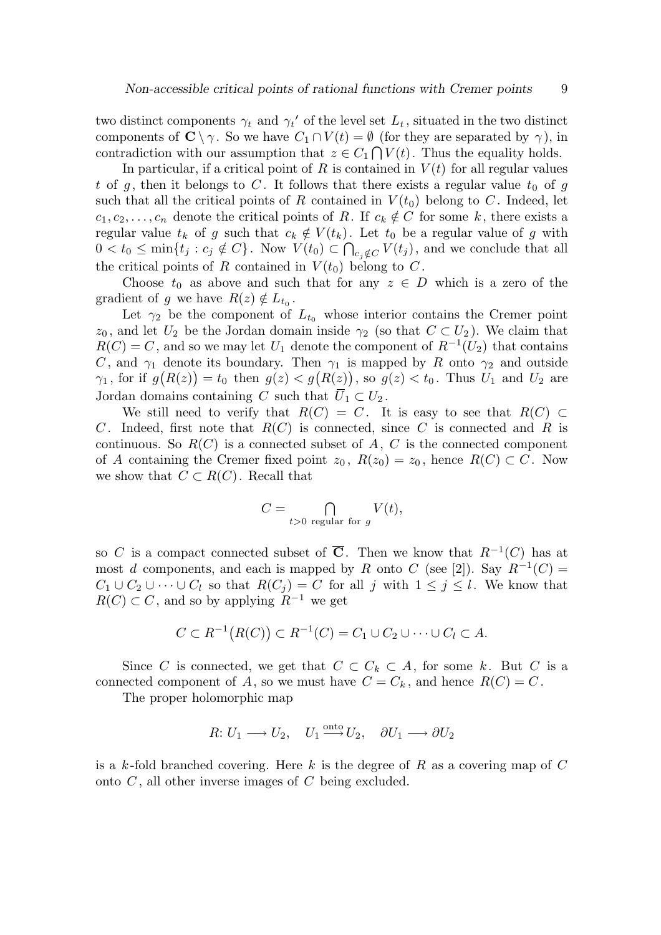two distinct components  $\gamma_t$  and  $\gamma_t'$  of the level set  $L_t$ , situated in the two distinct components of  $\mathbb{C} \setminus \gamma$ . So we have  $C_1 \cap V(t) = \emptyset$  (for they are separated by  $\gamma$ ), in contradiction with our assumption that  $z \in C_1 \cap V(t)$ . Thus the equality holds.

In particular, if a critical point of R is contained in  $V(t)$  for all regular values t of g, then it belongs to C. It follows that there exists a regular value  $t_0$  of g such that all the critical points of R contained in  $V(t_0)$  belong to C. Indeed, let  $c_1, c_2, \ldots, c_n$  denote the critical points of R. If  $c_k \notin C$  for some k, there exists a regular value  $t_k$  of g such that  $c_k \notin V(t_k)$ . Let  $t_0$  be a regular value of g with  $0 < t_0 \le \min\{t_j : c_j \notin C\}$ . Now  $V(t_0) \subset \bigcap_{c_j \notin C} V(t_j)$ , and we conclude that all the critical points of R contained in  $V(t_0)$  belong to C.

Choose  $t_0$  as above and such that for any  $z \in D$  which is a zero of the gradient of g we have  $R(z) \notin L_{t_0}$ .

Let  $\gamma_2$  be the component of  $L_{t_0}$  whose interior contains the Cremer point  $z_0$ , and let  $U_2$  be the Jordan domain inside  $\gamma_2$  (so that  $C \subset U_2$ ). We claim that  $R(C) = C$ , and so we may let  $U_1$  denote the component of  $R^{-1}(U_2)$  that contains C, and  $\gamma_1$  denote its boundary. Then  $\gamma_1$  is mapped by R onto  $\gamma_2$  and outside  $\gamma_1$ , for if  $g(R(z)) = t_0$  then  $g(z) < g(R(z))$ , so  $g(z) < t_0$ . Thus  $U_1$  and  $U_2$  are Jordan domains containing C such that  $\overline{U}_1 \subset U_2$ .

We still need to verify that  $R(C) = C$ . It is easy to see that  $R(C) \subset$ C. Indeed, first note that  $R(C)$  is connected, since C is connected and R is continuous. So  $R(C)$  is a connected subset of A, C is the connected component of A containing the Cremer fixed point  $z_0$ ,  $R(z_0) = z_0$ , hence  $R(C) \subset C$ . Now we show that  $C \subset R(C)$ . Recall that

$$
C = \bigcap_{t>0 \text{ regular for } g} V(t),
$$

so C is a compact connected subset of  $\overline{C}$ . Then we know that  $R^{-1}(C)$  has at most d components, and each is mapped by R onto C (see [2]). Say  $R^{-1}(C)$  =  $C_1 \cup C_2 \cup \cdots \cup C_l$  so that  $R(C_i) = C$  for all j with  $1 \leq j \leq l$ . We know that  $R(C) \subset C$ , and so by applying  $R^{-1}$  we get

$$
C \subset R^{-1}(R(C)) \subset R^{-1}(C) = C_1 \cup C_2 \cup \cdots \cup C_l \subset A.
$$

Since C is connected, we get that  $C \subset C_k \subset A$ , for some k. But C is a connected component of A, so we must have  $C = C_k$ , and hence  $R(C) = C$ .

The proper holomorphic map

$$
R: U_1 \longrightarrow U_2, \quad U_1 \stackrel{\text{onto}}{\longrightarrow} U_2, \quad \partial U_1 \longrightarrow \partial U_2
$$

is a k-fold branched covering. Here k is the degree of R as a covering map of  $C$ onto  $C$ , all other inverse images of  $C$  being excluded.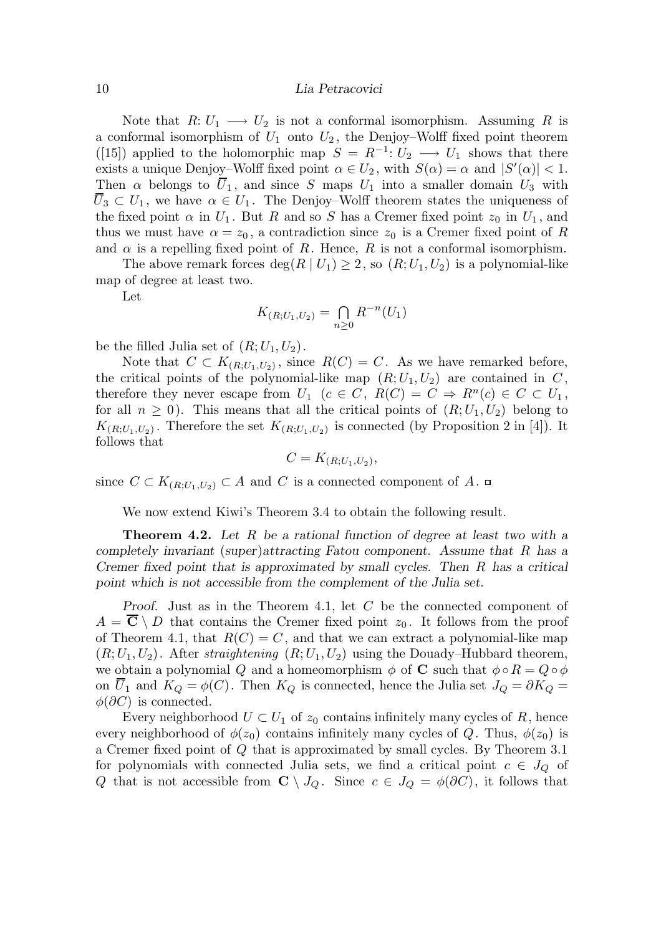Note that  $R: U_1 \longrightarrow U_2$  is not a conformal isomorphism. Assuming R is a conformal isomorphism of  $U_1$  onto  $U_2$ , the Denjoy–Wolff fixed point theorem ([15]) applied to the holomorphic map  $S = R^{-1}: U_2 \longrightarrow U_1$  shows that there exists a unique Denjoy–Wolff fixed point  $\alpha \in U_2$ , with  $S(\alpha) = \alpha$  and  $|S'(\alpha)| < 1$ . Then  $\alpha$  belongs to  $\overline{U}_1$ , and since S maps  $U_1$  into a smaller domain  $U_3$  with  $\overline{U}_3 \subset U_1$ , we have  $\alpha \in U_1$ . The Denjoy–Wolff theorem states the uniqueness of the fixed point  $\alpha$  in  $U_1$ . But R and so S has a Cremer fixed point  $z_0$  in  $U_1$ , and thus we must have  $\alpha = z_0$ , a contradiction since  $z_0$  is a Cremer fixed point of R and  $\alpha$  is a repelling fixed point of R. Hence, R is not a conformal isomorphism.

The above remark forces  $\deg(R | U_1) \geq 2$ , so  $(R; U_1, U_2)$  is a polynomial-like map of degree at least two.

Let

$$
K_{(R;U_1,U_2)} = \bigcap_{n\geq 0} R^{-n}(U_1)
$$

be the filled Julia set of  $(R; U_1, U_2)$ .

Note that  $C \subset K_{(R;U_1,U_2)}$ , since  $R(C) = C$ . As we have remarked before, the critical points of the polynomial-like map  $(R; U_1, U_2)$  are contained in C, therefore they never escape from  $U_1$   $(c \in C, R(C) = C \Rightarrow R^n(c) \in C \subset U_1$ , for all  $n \geq 0$ ). This means that all the critical points of  $(R; U_1, U_2)$  belong to  $K_{(R;U_1,U_2)}$ . Therefore the set  $K_{(R;U_1,U_2)}$  is connected (by Proposition 2 in [4]). It follows that

$$
C=K_{(R;U_1,U_2)},
$$

since  $C \subset K_{(R;U_1,U_2)} \subset A$  and C is a connected component of A.  $\Box$ 

We now extend Kiwi's Theorem 3.4 to obtain the following result.

**Theorem 4.2.** Let R be a rational function of degree at least two with a completely invariant (super)attracting Fatou component. Assume that R has a Cremer fixed point that is approximated by small cycles. Then R has a critical point which is not accessible from the complement of the Julia set.

Proof. Just as in the Theorem 4.1, let C be the connected component of  $A = \overline{\mathbf{C}} \setminus D$  that contains the Cremer fixed point  $z_0$ . It follows from the proof of Theorem 4.1, that  $R(C) = C$ , and that we can extract a polynomial-like map  $(R; U_1, U_2)$ . After straightening  $(R; U_1, U_2)$  using the Douady–Hubbard theorem, we obtain a polynomial Q and a homeomorphism  $\phi$  of C such that  $\phi \circ R = Q \circ \phi$ on  $\overline{U}_1$  and  $K_Q = \phi(C)$ . Then  $K_Q$  is connected, hence the Julia set  $J_Q = \partial K_Q =$  $\phi(\partial C)$  is connected.

Every neighborhood  $U \subset U_1$  of  $z_0$  contains infinitely many cycles of R, hence every neighborhood of  $\phi(z_0)$  contains infinitely many cycles of Q. Thus,  $\phi(z_0)$  is a Cremer fixed point of Q that is approximated by small cycles. By Theorem 3.1 for polynomials with connected Julia sets, we find a critical point  $c \in J_Q$  of Q that is not accessible from  $\mathbb{C} \setminus J_Q$ . Since  $c \in J_Q = \phi(\partial C)$ , it follows that